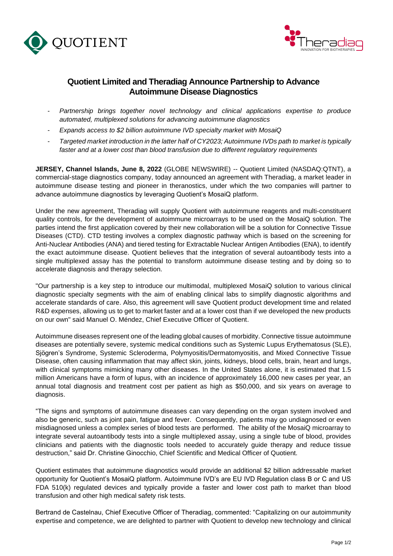



## **Quotient Limited and Theradiag Announce Partnership to Advance Autoimmune Disease Diagnostics**

- *Partnership brings together novel technology and clinical applications expertise to produce automated, multiplexed solutions for advancing autoimmune diagnostics*
- *Expands access to \$2 billion autoimmune IVD specialty market with MosaiQ*
- *Targeted market introduction in the latter half of CY2023; Autoimmune IVDs path to market is typically faster and at a lower cost than blood transfusion due to different regulatory requirements*

**JERSEY, Channel Islands, June 8, 2022** (GLOBE NEWSWIRE) -- Quotient Limited (NASDAQ:QTNT), a commercial-stage diagnostics company, today announced an agreement with Theradiag, a market leader in autoimmune disease testing and pioneer in theranostics, under which the two companies will partner to advance autoimmune diagnostics by leveraging Quotient's MosaiQ platform.

Under the new agreement, Theradiag will supply Quotient with autoimmune reagents and multi-constituent quality controls, for the development of autoimmune microarrays to be used on the MosaiQ solution. The parties intend the first application covered by their new collaboration will be a solution for Connective Tissue Diseases (CTD). CTD testing involves a complex diagnostic pathway which is based on the screening for Anti-Nuclear Antibodies (ANA) and tiered testing for Extractable Nuclear Antigen Antibodies (ENA), to identify the exact autoimmune disease. Quotient believes that the integration of several autoantibody tests into a single multiplexed assay has the potential to transform autoimmune disease testing and by doing so to accelerate diagnosis and therapy selection.

"Our partnership is a key step to introduce our multimodal, multiplexed MosaiQ solution to various clinical diagnostic specialty segments with the aim of enabling clinical labs to simplify diagnostic algorithms and accelerate standards of care. Also, this agreement will save Quotient product development time and related R&D expenses, allowing us to get to market faster and at a lower cost than if we developed the new products on our own" said Manuel O. Méndez, Chief Executive Officer of Quotient.

Autoimmune diseases represent one of the leading global causes of morbidity. Connective tissue autoimmune diseases are potentially severe, systemic medical conditions such as Systemic Lupus Erythematosus (SLE), Sjögren's Syndrome, Systemic Scleroderma, Polymyositis/Dermatomyositis, and Mixed Connective Tissue Disease, often causing inflammation that may affect skin, joints, kidneys, blood cells, brain, heart and lungs, with clinical symptoms mimicking many other diseases. In the United States alone, it is estimated that 1.5 million Americans have a form of lupus, with an incidence of approximately 16,000 new cases per year, an annual total diagnosis and treatment cost per patient as high as \$50,000, and six years on average to diagnosis.

"The signs and symptoms of autoimmune diseases can vary depending on the organ system involved and also be generic, such as joint pain, fatigue and fever. Consequently, patients may go undiagnosed or even misdiagnosed unless a complex series of blood tests are performed. The ability of the MosaiQ microarray to integrate several autoantibody tests into a single multiplexed assay, using a single tube of blood, provides clinicians and patients with the diagnostic tools needed to accurately guide therapy and reduce tissue destruction," said Dr. Christine Ginocchio, Chief Scientific and Medical Officer of Quotient.

Quotient estimates that autoimmune diagnostics would provide an additional \$2 billion addressable market opportunity for Quotient's MosaiQ platform. Autoimmune IVD's are EU IVD Regulation class B or C and US FDA 510(k) regulated devices and typically provide a faster and lower cost path to market than blood transfusion and other high medical safety risk tests.

Bertrand de Castelnau, Chief Executive Officer of Theradiag, commented: "Capitalizing on our autoimmunity expertise and competence, we are delighted to partner with Quotient to develop new technology and clinical